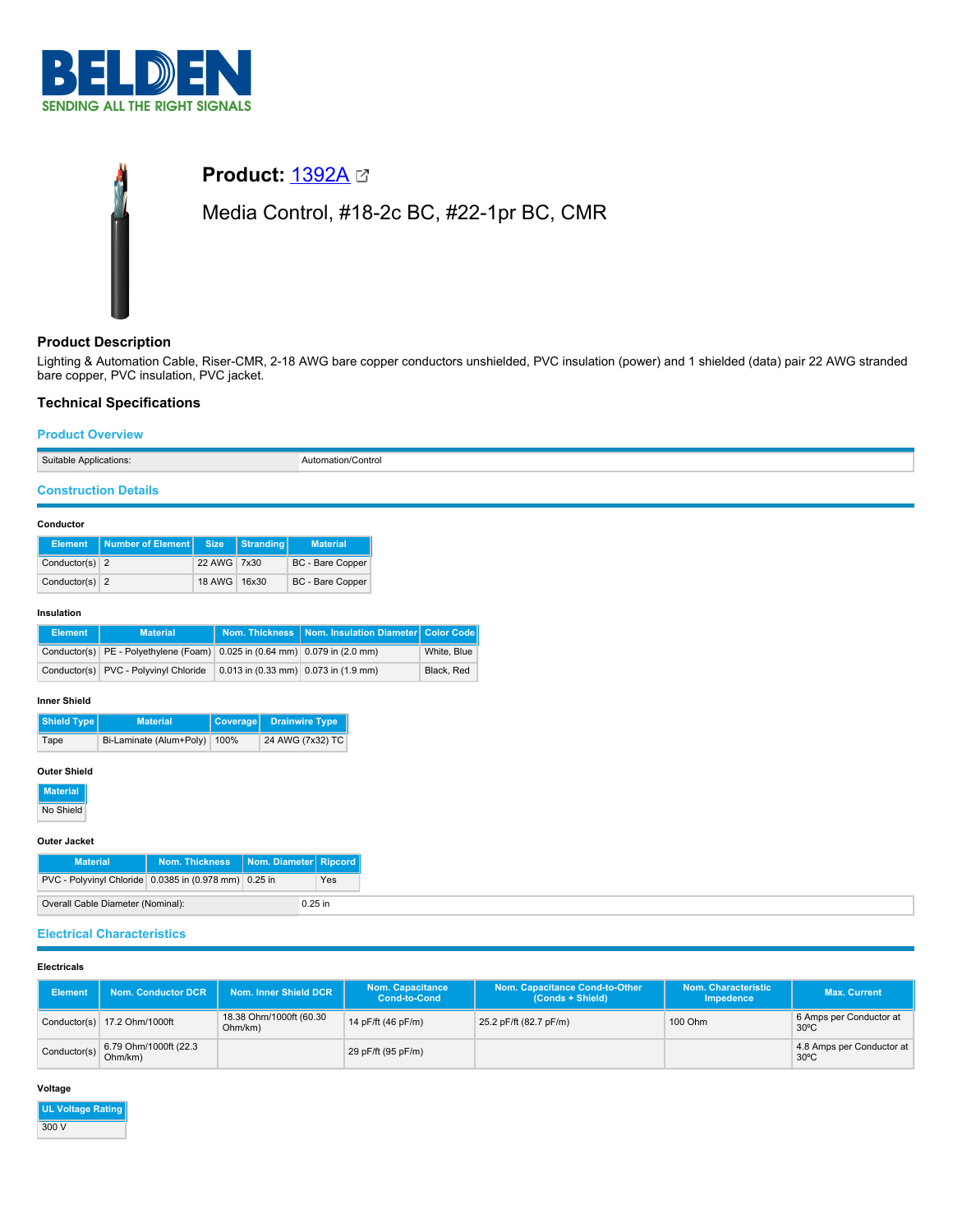

# **Product: [1392A](https://catalog.belden.com/index.cfm?event=pd&p=PF_1392A&tab=downloads) 23** Media Control, #18-2c BC, #22-1pr BC, CMR

# **Product Description**

Lighting & Automation Cable, Riser-CMR, 2-18 AWG bare copper conductors unshielded, PVC insulation (power) and 1 shielded (data) pair 22 AWG stranded bare copper, PVC insulation, PVC jacket.

# **Technical Specifications**

# **Product Overview**

Suitable Applications: Automation/Control

# **Construction Details**

#### **Conductor**

| <b>Element</b>   | Number of Element   Size |              | Stranding | <b>Material</b>         |
|------------------|--------------------------|--------------|-----------|-------------------------|
| Conductor(s) $2$ |                          | 22 AWG 7x30  |           | <b>BC</b> - Bare Copper |
| Conductor(s) $2$ |                          | 18 AWG 16x30 |           | <b>BC</b> - Bare Copper |

#### **Insulation**

| Element | <b>Material</b>                                                            |                                        | Nom. Thickness   Nom. Insulation Diameter   Color Code |             |
|---------|----------------------------------------------------------------------------|----------------------------------------|--------------------------------------------------------|-------------|
|         | Conductor(s) PE - Polyethylene (Foam) 0.025 in (0.64 mm) 0.079 in (2.0 mm) |                                        |                                                        | White, Blue |
|         | Conductor(s) PVC - Polyvinyl Chloride                                      | $0.013$ in (0.33 mm) 0.073 in (1.9 mm) |                                                        | Black, Red  |

#### **Inner Shield**

| Shield Type<br><b>Material</b> |                         |      | Coverage Drainwire Type |
|--------------------------------|-------------------------|------|-------------------------|
| Tape                           | Bi-Laminate (Alum+Poly) | 100% | 24 AWG (7x32) TC        |

## **Outer Shield**

**Material**

No Shield

#### **Outer Jacket**

| <b>Material</b>                                       | Nom. Thickness | Nom. Diameter Ripcord |  |  |  |
|-------------------------------------------------------|----------------|-----------------------|--|--|--|
| PVC - Polyvinyl Chloride 0.0385 in (0.978 mm) 0.25 in |                |                       |  |  |  |
| Overall Cable Diameter (Nominal):<br>$0.25$ in        |                |                       |  |  |  |

# **Electrical Characteristics**

# **Electricals**

| <b>Element</b> | <b>Nom. Conductor DCR</b>        | Nom. Inner Shield DCR              | <b>Nom. Capacitance</b><br><b>Cond-to-Cond</b> | Nom. Capacitance Cond-to-Other<br>(Conds + Shield) | Nom. Characteristic<br>Impedence | <b>Max. Current</b>                         |
|----------------|----------------------------------|------------------------------------|------------------------------------------------|----------------------------------------------------|----------------------------------|---------------------------------------------|
|                | Conductor(s) 17.2 Ohm/1000ft     | 18.38 Ohm/1000ft (60.30<br>Ohm/km) | 14 pF/ft (46 pF/m)                             | 25.2 pF/ft (82.7 pF/m)                             | 100 Ohm                          | 6 Amps per Conductor at<br>$30^{\circ}$ C   |
| Conductor(s)   | 6.79 Ohm/1000ft (22.3<br>Ohm/km) |                                    | 29 pF/ft (95 pF/m)                             |                                                    |                                  | 4.8 Amps per Conductor at<br>$30^{\circ}$ C |

## **Voltage**

**UL Voltage Rating** 300 V